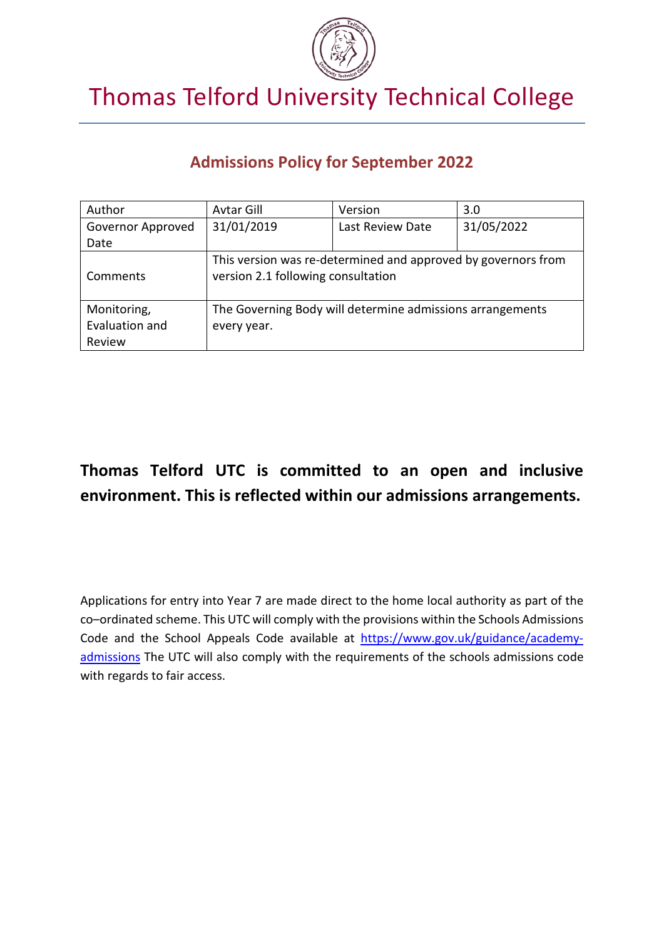

# Thomas Telford University Technical College

### **Admissions Policy for September 2022**

| Author            | Avtar Gill                                                                                          | Version          | 3.0        |
|-------------------|-----------------------------------------------------------------------------------------------------|------------------|------------|
| Governor Approved | 31/01/2019                                                                                          | Last Review Date | 31/05/2022 |
| Date              |                                                                                                     |                  |            |
| Comments          | This version was re-determined and approved by governors from<br>version 2.1 following consultation |                  |            |
| Monitoring,       | The Governing Body will determine admissions arrangements                                           |                  |            |
| Evaluation and    | every year.                                                                                         |                  |            |
| Review            |                                                                                                     |                  |            |

## **Thomas Telford UTC is committed to an open and inclusive environment. This is reflected within our admissions arrangements.**

Applications for entry into Year 7 are made direct to the home local authority as part of the co–ordinated scheme. This UTC will comply with the provisions within the Schools Admissions Code and the School Appeals Code available at [https://www.gov.uk/guidance/academy](https://www.gov.uk/guidance/academy-admissions)[admissions](https://www.gov.uk/guidance/academy-admissions) The UTC will also comply with the requirements of the schools admissions code with regards to fair access.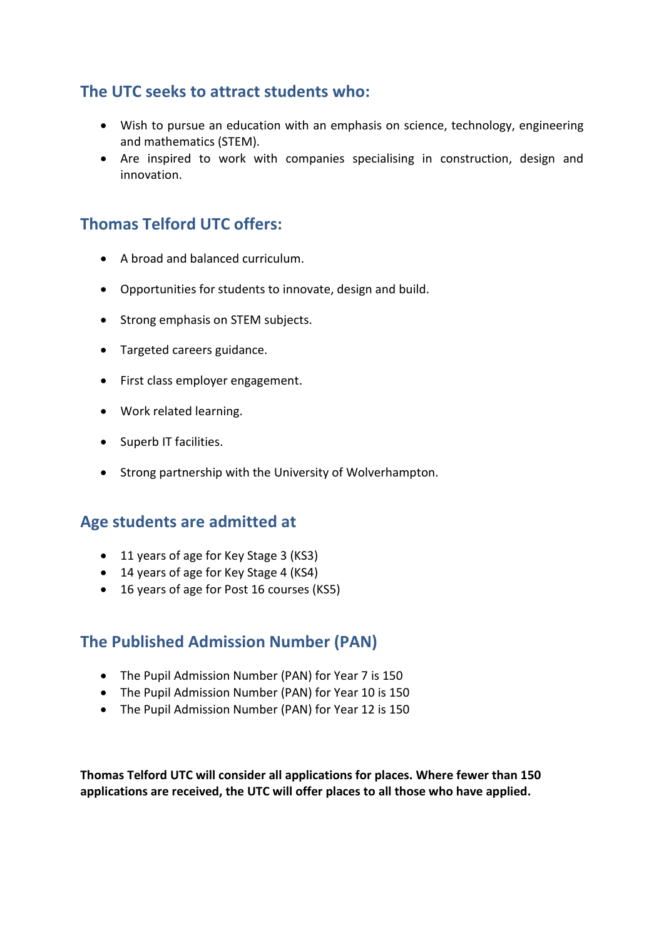### **The UTC seeks to attract students who:**

- Wish to pursue an education with an emphasis on science, technology, engineering and mathematics (STEM).
- Are inspired to work with companies specialising in construction, design and innovation.

### **Thomas Telford UTC offers:**

- A broad and balanced curriculum.
- Opportunities for students to innovate, design and build.
- Strong emphasis on STEM subjects.
- Targeted careers guidance.
- First class employer engagement.
- Work related learning.
- Superb IT facilities.
- Strong partnership with the University of Wolverhampton.

#### **Age students are admitted at**

- 11 years of age for Key Stage 3 (KS3)
- 14 years of age for Key Stage 4 (KS4)
- 16 years of age for Post 16 courses (KS5)

#### **The Published Admission Number (PAN)**

- The Pupil Admission Number (PAN) for Year 7 is 150
- The Pupil Admission Number (PAN) for Year 10 is 150
- The Pupil Admission Number (PAN) for Year 12 is 150

**Thomas Telford UTC will consider all applications for places. Where fewer than 150 applications are received, the UTC will offer places to all those who have applied.**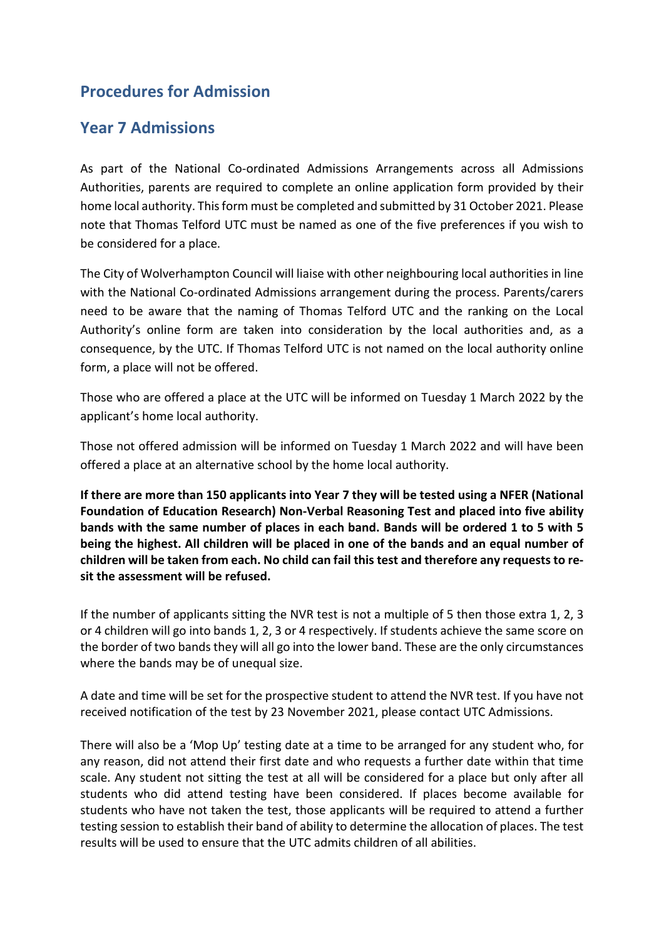### **Procedures for Admission**

#### **Year 7 Admissions**

As part of the National Co-ordinated Admissions Arrangements across all Admissions Authorities, parents are required to complete an online application form provided by their home local authority. This form must be completed and submitted by 31 October 2021. Please note that Thomas Telford UTC must be named as one of the five preferences if you wish to be considered for a place.

The City of Wolverhampton Council will liaise with other neighbouring local authorities in line with the National Co-ordinated Admissions arrangement during the process. Parents/carers need to be aware that the naming of Thomas Telford UTC and the ranking on the Local Authority's online form are taken into consideration by the local authorities and, as a consequence, by the UTC. If Thomas Telford UTC is not named on the local authority online form, a place will not be offered.

Those who are offered a place at the UTC will be informed on Tuesday 1 March 2022 by the applicant's home local authority.

Those not offered admission will be informed on Tuesday 1 March 2022 and will have been offered a place at an alternative school by the home local authority.

**If there are more than 150 applicants into Year 7 they will be tested using a NFER (National Foundation of Education Research) Non-Verbal Reasoning Test and placed into five ability bands with the same number of places in each band. Bands will be ordered 1 to 5 with 5 being the highest. All children will be placed in one of the bands and an equal number of children will be taken from each. No child can fail this test and therefore any requests to resit the assessment will be refused.** 

If the number of applicants sitting the NVR test is not a multiple of 5 then those extra 1, 2, 3 or 4 children will go into bands 1, 2, 3 or 4 respectively. If students achieve the same score on the border of two bands they will all go into the lower band. These are the only circumstances where the bands may be of unequal size.

A date and time will be set for the prospective student to attend the NVR test. If you have not received notification of the test by 23 November 2021, please contact UTC Admissions.

There will also be a 'Mop Up' testing date at a time to be arranged for any student who, for any reason, did not attend their first date and who requests a further date within that time scale. Any student not sitting the test at all will be considered for a place but only after all students who did attend testing have been considered. If places become available for students who have not taken the test, those applicants will be required to attend a further testing session to establish their band of ability to determine the allocation of places. The test results will be used to ensure that the UTC admits children of all abilities.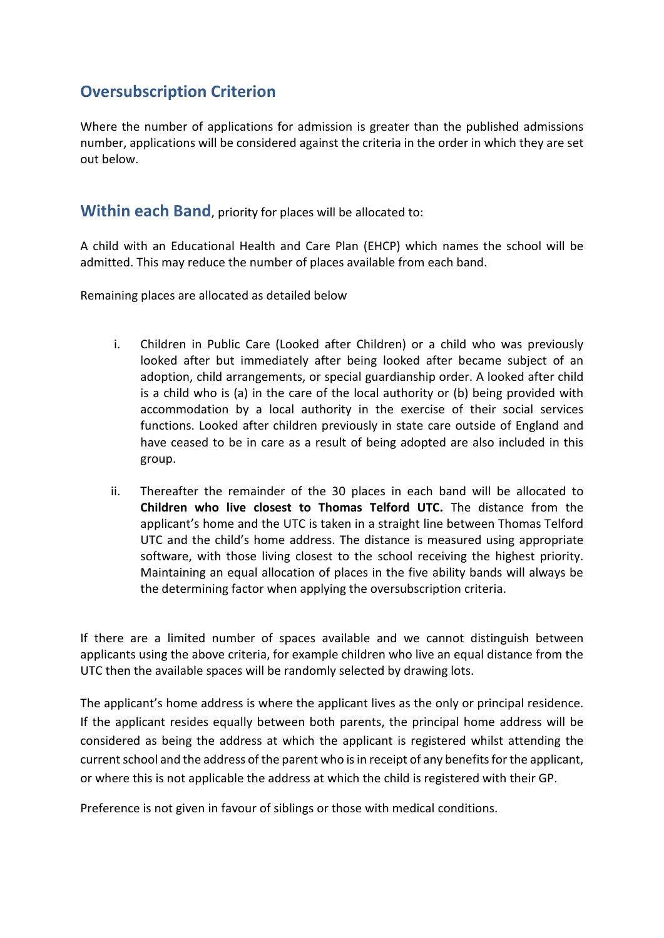#### **Oversubscription Criterion**

Where the number of applications for admission is greater than the published admissions number, applications will be considered against the criteria in the order in which they are set out below.

**Within each Band**, priority for places will be allocated to:

A child with an Educational Health and Care Plan (EHCP) which names the school will be admitted. This may reduce the number of places available from each band.

Remaining places are allocated as detailed below

- i. Children in Public Care (Looked after Children) or a child who was previously looked after but immediately after being looked after became subject of an adoption, child arrangements, or special guardianship order. A looked after child is a child who is (a) in the care of the local authority or (b) being provided with accommodation by a local authority in the exercise of their social services functions. Looked after children previously in state care outside of England and have ceased to be in care as a result of being adopted are also included in this group.
- ii. Thereafter the remainder of the 30 places in each band will be allocated to **Children who live closest to Thomas Telford UTC.** The distance from the applicant's home and the UTC is taken in a straight line between Thomas Telford UTC and the child's home address. The distance is measured using appropriate software, with those living closest to the school receiving the highest priority. Maintaining an equal allocation of places in the five ability bands will always be the determining factor when applying the oversubscription criteria.

If there are a limited number of spaces available and we cannot distinguish between applicants using the above criteria, for example children who live an equal distance from the UTC then the available spaces will be randomly selected by drawing lots.

The applicant's home address is where the applicant lives as the only or principal residence. If the applicant resides equally between both parents, the principal home address will be considered as being the address at which the applicant is registered whilst attending the current school and the address of the parent who is in receipt of any benefits for the applicant, or where this is not applicable the address at which the child is registered with their GP.

Preference is not given in favour of siblings or those with medical conditions.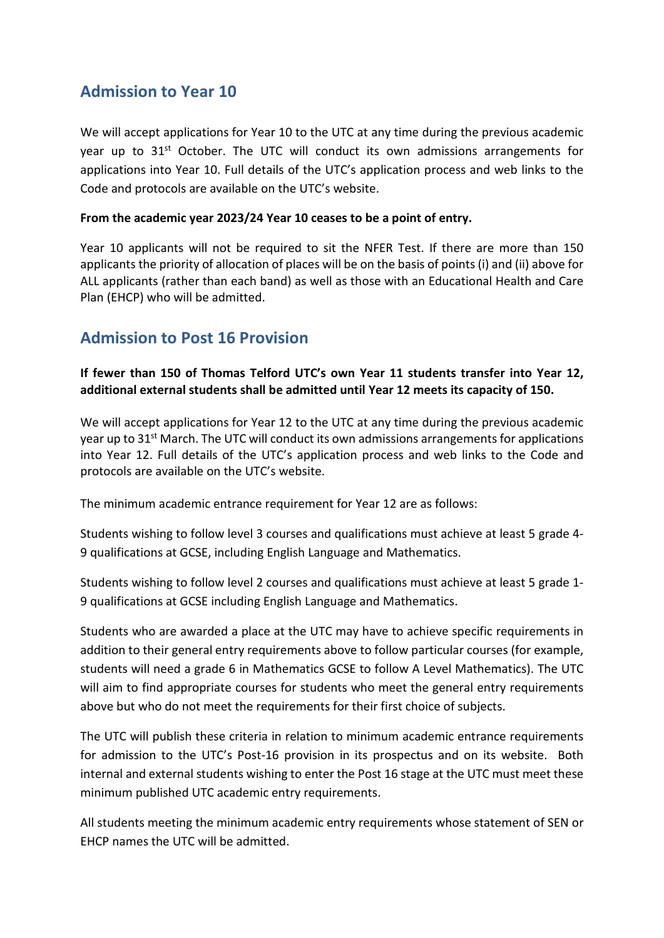#### **Admission to Year 10**

We will accept applications for Year 10 to the UTC at any time during the previous academic year up to  $31<sup>st</sup>$  October. The UTC will conduct its own admissions arrangements for applications into Year 10. Full details of the UTC's application process and web links to the Code and protocols are available on the UTC's website.

#### **From the academic year 2023/24 Year 10 ceases to be a point of entry.**

Year 10 applicants will not be required to sit the NFER Test. If there are more than 150 applicants the priority of allocation of places will be on the basis of points (i) and (ii) above for ALL applicants (rather than each band) as well as those with an Educational Health and Care Plan (EHCP) who will be admitted.

#### **Admission to Post 16 Provision**

#### **If fewer than 150 of Thomas Telford UTC's own Year 11 students transfer into Year 12, additional external students shall be admitted until Year 12 meets its capacity of 150.**

We will accept applications for Year 12 to the UTC at any time during the previous academic year up to 31<sup>st</sup> March. The UTC will conduct its own admissions arrangements for applications into Year 12. Full details of the UTC's application process and web links to the Code and protocols are available on the UTC's website.

The minimum academic entrance requirement for Year 12 are as follows:

Students wishing to follow level 3 courses and qualifications must achieve at least 5 grade 4- 9 qualifications at GCSE, including English Language and Mathematics.

Students wishing to follow level 2 courses and qualifications must achieve at least 5 grade 1- 9 qualifications at GCSE including English Language and Mathematics.

Students who are awarded a place at the UTC may have to achieve specific requirements in addition to their general entry requirements above to follow particular courses (for example, students will need a grade 6 in Mathematics GCSE to follow A Level Mathematics). The UTC will aim to find appropriate courses for students who meet the general entry requirements above but who do not meet the requirements for their first choice of subjects.

The UTC will publish these criteria in relation to minimum academic entrance requirements for admission to the UTC's Post-16 provision in its prospectus and on its website. Both internal and external students wishing to enter the Post 16 stage at the UTC must meet these minimum published UTC academic entry requirements.

All students meeting the minimum academic entry requirements whose statement of SEN or EHCP names the UTC will be admitted.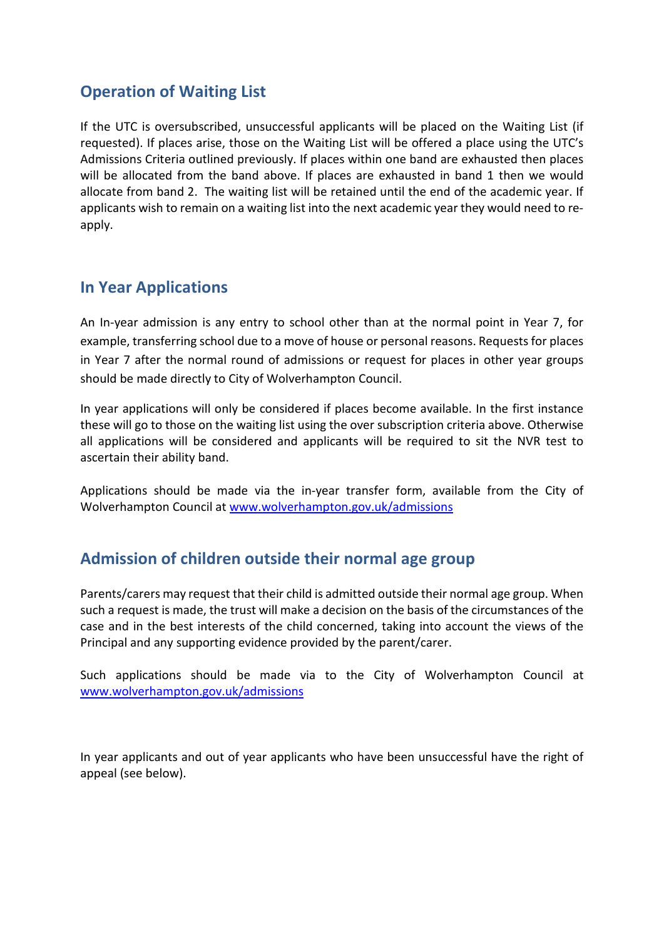#### **Operation of Waiting List**

If the UTC is oversubscribed, unsuccessful applicants will be placed on the Waiting List (if requested). If places arise, those on the Waiting List will be offered a place using the UTC's Admissions Criteria outlined previously. If places within one band are exhausted then places will be allocated from the band above. If places are exhausted in band 1 then we would allocate from band 2. The waiting list will be retained until the end of the academic year. If applicants wish to remain on a waiting list into the next academic year they would need to reapply.

#### **In Year Applications**

An In-year admission is any entry to school other than at the normal point in Year 7, for example, transferring school due to a move of house or personal reasons. Requests for places in Year 7 after the normal round of admissions or request for places in other year groups should be made directly to City of Wolverhampton Council.

In year applications will only be considered if places become available. In the first instance these will go to those on the waiting list using the over subscription criteria above. Otherwise all applications will be considered and applicants will be required to sit the NVR test to ascertain their ability band.

Applications should be made via the in-year transfer form, available from the City of Wolverhampton Council at [www.wolverhampton.gov.uk/admissions](http://www.wolverhampton.gov.uk/admissions)

### **Admission of children outside their normal age group**

Parents/carers may request that their child is admitted outside their normal age group. When such a request is made, the trust will make a decision on the basis of the circumstances of the case and in the best interests of the child concerned, taking into account the views of the Principal and any supporting evidence provided by the parent/carer.

Such applications should be made via to the City of Wolverhampton Council at [www.wolverhampton.gov.uk/admissions](http://www.wolverhampton.gov.uk/admissions)

In year applicants and out of year applicants who have been unsuccessful have the right of appeal (see below).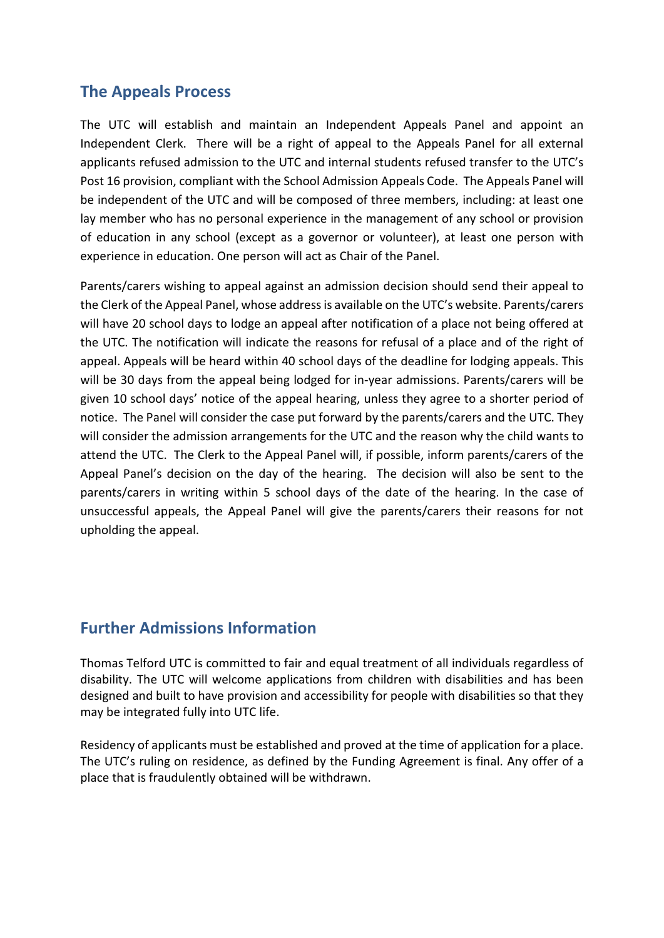#### **The Appeals Process**

The UTC will establish and maintain an Independent Appeals Panel and appoint an Independent Clerk. There will be a right of appeal to the Appeals Panel for all external applicants refused admission to the UTC and internal students refused transfer to the UTC's Post 16 provision, compliant with the School Admission Appeals Code. The Appeals Panel will be independent of the UTC and will be composed of three members, including: at least one lay member who has no personal experience in the management of any school or provision of education in any school (except as a governor or volunteer), at least one person with experience in education. One person will act as Chair of the Panel.

Parents/carers wishing to appeal against an admission decision should send their appeal to the Clerk of the Appeal Panel, whose address is available on the UTC's website. Parents/carers will have 20 school days to lodge an appeal after notification of a place not being offered at the UTC. The notification will indicate the reasons for refusal of a place and of the right of appeal. Appeals will be heard within 40 school days of the deadline for lodging appeals. This will be 30 days from the appeal being lodged for in-year admissions. Parents/carers will be given 10 school days' notice of the appeal hearing, unless they agree to a shorter period of notice. The Panel will consider the case put forward by the parents/carers and the UTC. They will consider the admission arrangements for the UTC and the reason why the child wants to attend the UTC. The Clerk to the Appeal Panel will, if possible, inform parents/carers of the Appeal Panel's decision on the day of the hearing. The decision will also be sent to the parents/carers in writing within 5 school days of the date of the hearing. In the case of unsuccessful appeals, the Appeal Panel will give the parents/carers their reasons for not upholding the appeal.

#### **Further Admissions Information**

Thomas Telford UTC is committed to fair and equal treatment of all individuals regardless of disability. The UTC will welcome applications from children with disabilities and has been designed and built to have provision and accessibility for people with disabilities so that they may be integrated fully into UTC life.

Residency of applicants must be established and proved at the time of application for a place. The UTC's ruling on residence, as defined by the Funding Agreement is final. Any offer of a place that is fraudulently obtained will be withdrawn.